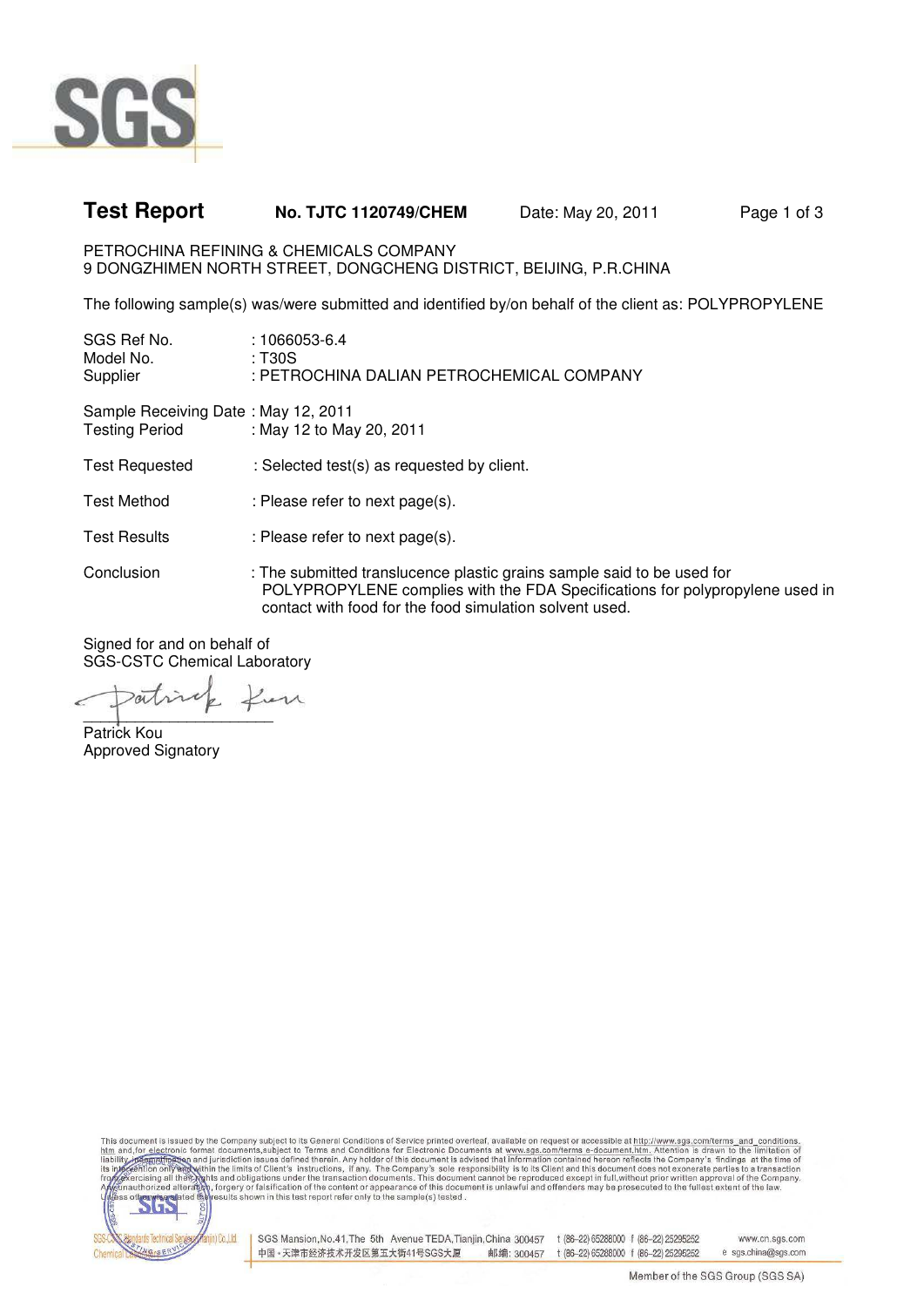

## **Test Report No. TJTC 1120749/CHEM** Date: May 20, 2011 Page 1 of 3

PETROCHINA REFINING & CHEMICALS COMPANY 9 DONGZHIMEN NORTH STREET, DONGCHENG DISTRICT, BEIJING, P.R.CHINA

The following sample(s) was/were submitted and identified by/on behalf of the client as: POLYPROPYLENE

| SGS Ref No.<br>Model No.<br>Supplier                         | $:1066053 - 6.4$<br>: T30S<br>: PETROCHINA DALIAN PETROCHEMICAL COMPANY                                                |
|--------------------------------------------------------------|------------------------------------------------------------------------------------------------------------------------|
| Sample Receiving Date: May 12, 2011<br><b>Testing Period</b> | : May 12 to May 20, 2011                                                                                               |
| <b>Test Requested</b>                                        | : Selected test(s) as requested by client.                                                                             |
| <b>Test Method</b>                                           | : Please refer to next page(s).                                                                                        |
| <b>Test Results</b>                                          | : Please refer to next page(s).                                                                                        |
| Conclusion                                                   | : The submitted translucence plastic grains sample said to be<br>POLYPROPYLENE complies with the FDA Specifications fo |

Conclusion : The submitted translucence plastic grains sample said to be used for or polypropylene used in contact with food for the food simulation solvent used.

Signed for and on behalf of SGS-CSTC Chemical Laboratory

satine  $\overline{\phantom{a}}$ 

Patrick Kou Approved Signatory

This document is issued by the Company subject to its General Conditions of Service printed overleaf, available on request or accessible at http://www.sgs.com/terms\_and\_conditions.<br>htm and,for\_electronic format documents,s



SGS Mansion, No.41, The 5th Avenue TEDA, Tianjin, China 300457 t (86-22) 65288000 f (86-22) 25295252 www.cn.sas.com 中国·天津市经济技术开发区第五大街41号SGS大厦 t (86-22) 65288000 f (86-22) 25295252 e sas.china@sas.com 邮编: 300457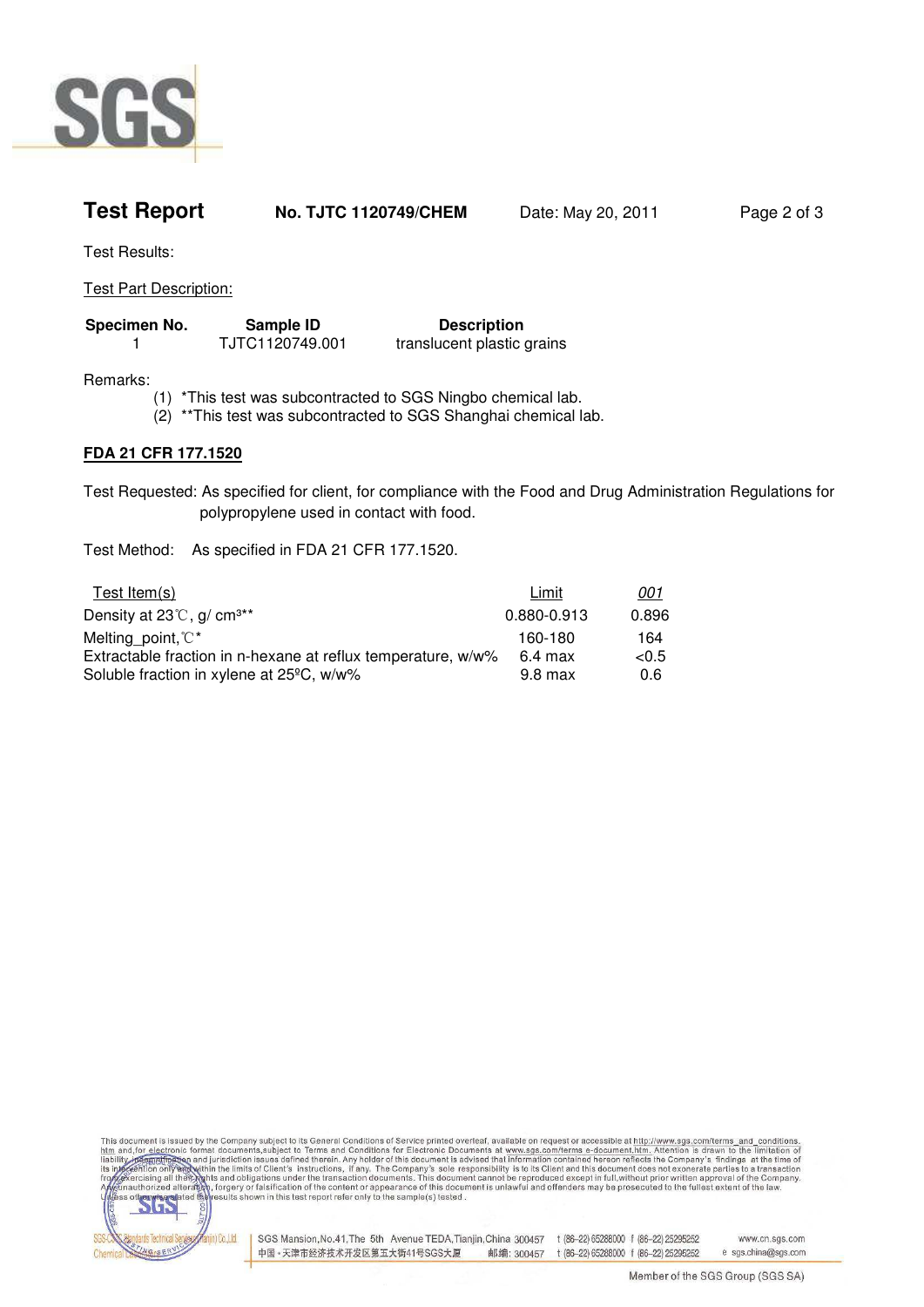

| <b>Test Report</b> | <b>No. TJTC 1120749/CHEM</b> | Date: May 20, 2011 | Page 2 of 3 |
|--------------------|------------------------------|--------------------|-------------|
|                    |                              |                    |             |

Test Results:

Test Part Description:

| Specimen No. | Sample ID       | <b>Description</b>         |
|--------------|-----------------|----------------------------|
|              | TJTC1120749.001 | translucent plastic grains |

Remarks:

- (1) \*This test was subcontracted to SGS Ningbo chemical lab.
- (2) \*\*This test was subcontracted to SGS Shanghai chemical lab.

## **FDA 21 CFR 177.1520**

Test Requested: As specified for client, for compliance with the Food and Drug Administration Regulations for polypropylene used in contact with food.

Test Method: As specified in FDA 21 CFR 177.1520.

| Test Item $(s)$                                              | Limit       | 001      |
|--------------------------------------------------------------|-------------|----------|
| Density at $23^{\circ}$ C, g/ cm <sup>3**</sup>              | 0.880-0.913 | 0.896    |
| Melting point, $\mathbb{C}^*$                                | 160-180     | 164      |
| Extractable fraction in n-hexane at reflux temperature, w/w% | 6.4 max     | ${<}0.5$ |
| Soluble fraction in xylene at 25°C, w/w%                     | 9.8 max     | 0.6      |

This document is issued by the Company subject to its General Conditions of Service printed overleaf, available on request or accessible at http://www.sgs.com/terms\_and\_conditions.<br>htm and,for\_electronic format documents,s



SGS Mansion, No.41, The 5th Avenue TEDA, Tianjin, China 300457 t (86-22) 65288000 f (86-22) 25295252 www.cn.sas.com 中国·天津市经济技术开发区第五大街41号SGS大厦 e sas.china@sas.com 邮编: 300457 t (86-22) 65288000 f (86-22) 25295252